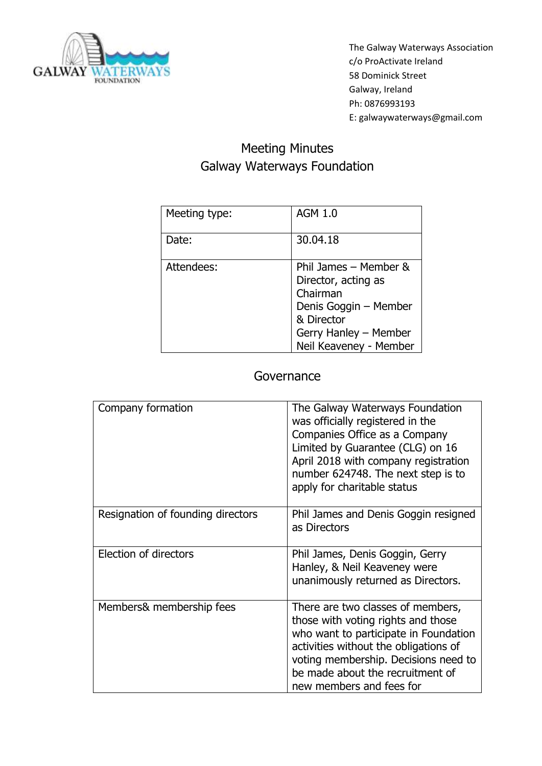

## Meeting Minutes Galway Waterways Foundation

| Meeting type: | <b>AGM 1.0</b>                                                                                                                                     |
|---------------|----------------------------------------------------------------------------------------------------------------------------------------------------|
| Date:         | 30.04.18                                                                                                                                           |
| Attendees:    | Phil James - Member &<br>Director, acting as<br>Chairman<br>Denis Goggin - Member<br>& Director<br>Gerry Hanley - Member<br>Neil Keaveney - Member |

## **Governance**

| Company formation                 | The Galway Waterways Foundation<br>was officially registered in the<br>Companies Office as a Company<br>Limited by Guarantee (CLG) on 16<br>April 2018 with company registration<br>number 624748. The next step is to<br>apply for charitable status             |
|-----------------------------------|-------------------------------------------------------------------------------------------------------------------------------------------------------------------------------------------------------------------------------------------------------------------|
| Resignation of founding directors | Phil James and Denis Goggin resigned<br>as Directors                                                                                                                                                                                                              |
| Election of directors             | Phil James, Denis Goggin, Gerry<br>Hanley, & Neil Keaveney were<br>unanimously returned as Directors.                                                                                                                                                             |
| Members& membership fees          | There are two classes of members,<br>those with voting rights and those<br>who want to participate in Foundation<br>activities without the obligations of<br>voting membership. Decisions need to<br>be made about the recruitment of<br>new members and fees for |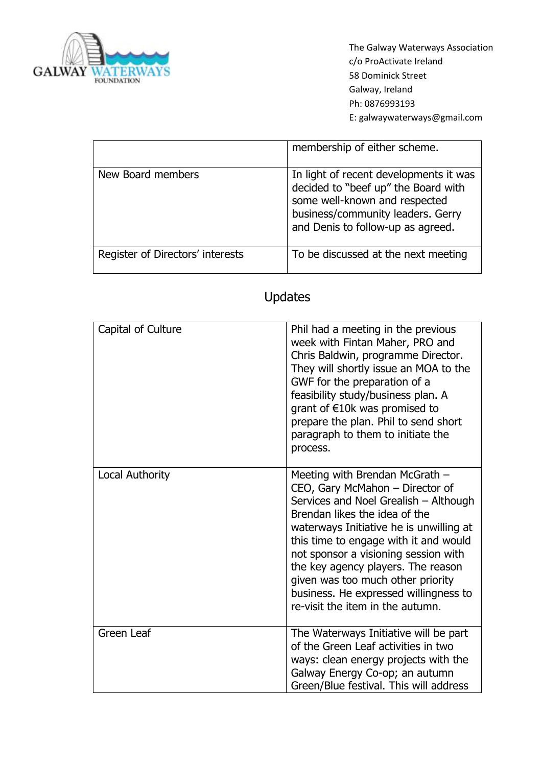

|                                  | membership of either scheme.                                                                                                                                                             |
|----------------------------------|------------------------------------------------------------------------------------------------------------------------------------------------------------------------------------------|
| New Board members                | In light of recent developments it was<br>decided to "beef up" the Board with<br>some well-known and respected<br>business/community leaders. Gerry<br>and Denis to follow-up as agreed. |
| Register of Directors' interests | To be discussed at the next meeting                                                                                                                                                      |

## Updates

| Capital of Culture | Phil had a meeting in the previous<br>week with Fintan Maher, PRO and<br>Chris Baldwin, programme Director.<br>They will shortly issue an MOA to the<br>GWF for the preparation of a<br>feasibility study/business plan. A<br>grant of $E10k$ was promised to<br>prepare the plan. Phil to send short<br>paragraph to them to initiate the<br>process.                                                                          |
|--------------------|---------------------------------------------------------------------------------------------------------------------------------------------------------------------------------------------------------------------------------------------------------------------------------------------------------------------------------------------------------------------------------------------------------------------------------|
| Local Authority    | Meeting with Brendan McGrath -<br>CEO, Gary McMahon - Director of<br>Services and Noel Grealish - Although<br>Brendan likes the idea of the<br>waterways Initiative he is unwilling at<br>this time to engage with it and would<br>not sponsor a visioning session with<br>the key agency players. The reason<br>given was too much other priority<br>business. He expressed willingness to<br>re-visit the item in the autumn. |
| <b>Green Leaf</b>  | The Waterways Initiative will be part<br>of the Green Leaf activities in two<br>ways: clean energy projects with the<br>Galway Energy Co-op; an autumn<br>Green/Blue festival. This will address                                                                                                                                                                                                                                |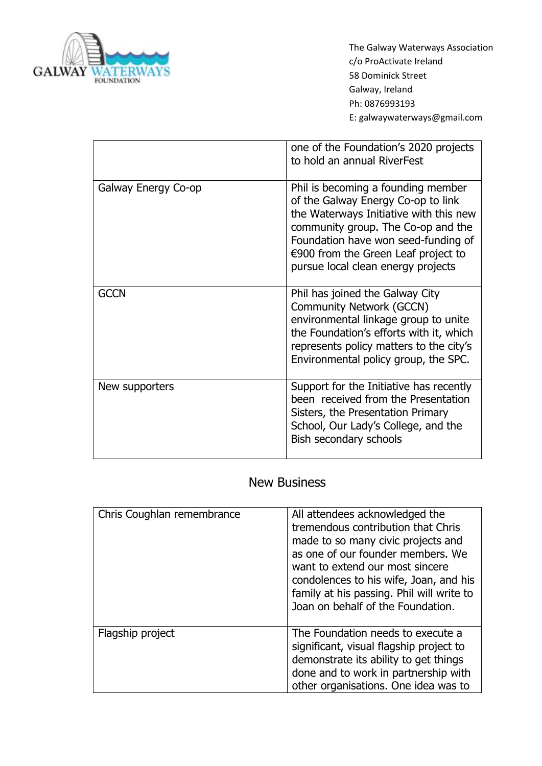

|                     | one of the Foundation's 2020 projects<br>to hold an annual RiverFest                                                                                                                                                                                                         |
|---------------------|------------------------------------------------------------------------------------------------------------------------------------------------------------------------------------------------------------------------------------------------------------------------------|
| Galway Energy Co-op | Phil is becoming a founding member<br>of the Galway Energy Co-op to link<br>the Waterways Initiative with this new<br>community group. The Co-op and the<br>Foundation have won seed-funding of<br>€900 from the Green Leaf project to<br>pursue local clean energy projects |
| <b>GCCN</b>         | Phil has joined the Galway City<br>Community Network (GCCN)<br>environmental linkage group to unite<br>the Foundation's efforts with it, which<br>represents policy matters to the city's<br>Environmental policy group, the SPC.                                            |
| New supporters      | Support for the Initiative has recently<br>been received from the Presentation<br>Sisters, the Presentation Primary<br>School, Our Lady's College, and the<br>Bish secondary schools                                                                                         |

## New Business

| Chris Coughlan remembrance | All attendees acknowledged the<br>tremendous contribution that Chris<br>made to so many civic projects and<br>as one of our founder members. We<br>want to extend our most sincere<br>condolences to his wife, Joan, and his<br>family at his passing. Phil will write to<br>Joan on behalf of the Foundation. |
|----------------------------|----------------------------------------------------------------------------------------------------------------------------------------------------------------------------------------------------------------------------------------------------------------------------------------------------------------|
| Flagship project           | The Foundation needs to execute a<br>significant, visual flagship project to<br>demonstrate its ability to get things<br>done and to work in partnership with<br>other organisations. One idea was to                                                                                                          |